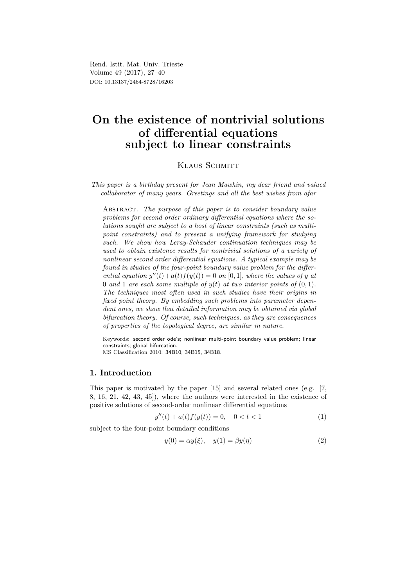Rend. Istit. Mat. Univ. Trieste Volume 49 (2017), 27–40 DOI: 10.13137/2464-8728/16203

# On the existence of nontrivial solutions of differential equations subject to linear constraints

KLAUS SCHMITT

This paper is a birthday present for Jean Mawhin, my dear friend and valued collaborator of many years. Greetings and all the best wishes from afar

ABSTRACT. The purpose of this paper is to consider boundary value problems for second order ordinary differential equations where the solutions sought are subject to a host of linear constraints (such as multipoint constraints) and to present a unifying framework for studying such. We show how Leray-Schauder continuation techniques may be used to obtain existence results for nontrivial solutions of a variety of nonlinear second order differential equations. A typical example may be found in studies of the four-point boundary value problem for the differential equation  $y''(t) + a(t) f(y(t)) = 0$  on [0, 1], where the values of y at 0 and 1 are each some multiple of  $y(t)$  at two interior points of  $(0, 1)$ . The techniques most often used in such studies have their origins in fixed point theory. By embedding such problems into parameter dependent ones, we show that detailed information may be obtained via global bifurcation theory. Of course, such techniques, as they are consequences of properties of the topological degree, are similar in nature.

Keywords: second order ode's; nonlinear multi-point boundary value problem; linear constraints; global bifurcation.

MS Classification 2010: 34B10, 34B15, 34B18.

# 1. Introduction

This paper is motivated by the paper [15] and several related ones (e.g. [7, 8, 16, 21, 42, 43, 45]), where the authors were interested in the existence of positive solutions of second-order nonlinear differential equations

$$
y''(t) + a(t)f(y(t)) = 0, \quad 0 < t < 1
$$
 (1)

subject to the four-point boundary conditions

$$
y(0) = \alpha y(\xi), \quad y(1) = \beta y(\eta) \tag{2}
$$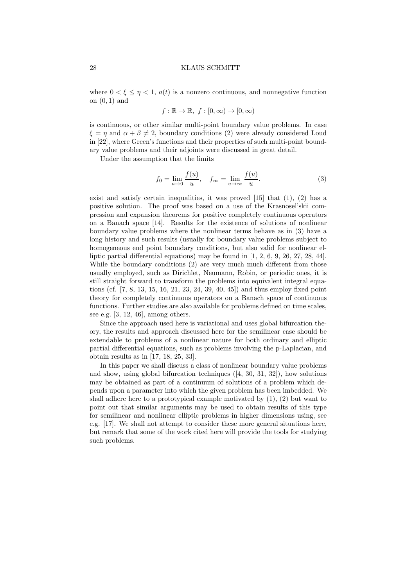where  $0 < \xi \leq \eta < 1$ ,  $a(t)$  is a nonzero continuous, and nonnegative function on  $(0, 1)$  and

$$
f: \mathbb{R} \to \mathbb{R}, f: [0, \infty) \to [0, \infty)
$$

is continuous, or other similar multi-point boundary value problems. In case  $\xi = \eta$  and  $\alpha + \beta \neq 2$ , boundary conditions (2) were already considered Loud in [22], where Green's functions and their properties of such multi-point boundary value problems and their adjoints were discussed in great detail.

Under the assumption that the limits

$$
f_0 = \lim_{u \to 0} \frac{f(u)}{u}, \quad f_{\infty} = \lim_{u \to \infty} \frac{f(u)}{u}.
$$
 (3)

exist and satisfy certain inequalities, it was proved [15] that (1), (2) has a positive solution. The proof was based on a use of the Krasnosel'skii compression and expansion theorems for positive completely continuous operators on a Banach space [14]. Results for the existence of solutions of nonlinear boundary value problems where the nonlinear terms behave as in (3) have a long history and such results (usually for boundary value problems subject to homogeneous end point boundary conditions, but also valid for nonlinear elliptic partial differential equations) may be found in [1, 2, 6, 9, 26, 27, 28, 44]. While the boundary conditions (2) are very much much different from those usually employed, such as Dirichlet, Neumann, Robin, or periodic ones, it is still straight forward to transform the problems into equivalent integral equations (cf. [7, 8, 13, 15, 16, 21, 23, 24, 39, 40, 45]) and thus employ fixed point theory for completely continuous operators on a Banach space of continuous functions. Further studies are also available for problems defined on time scales, see e.g. [3, 12, 46], among others.

Since the approach used here is variational and uses global bifurcation theory, the results and approach discussed here for the semilinear case should be extendable to problems of a nonlinear nature for both ordinary and elliptic partial differential equations, such as problems involving the p-Laplacian, and obtain results as in [17, 18, 25, 33].

In this paper we shall discuss a class of nonlinear boundary value problems and show, using global bifurcation techniques ([4, 30, 31, 32]), how solutions may be obtained as part of a continuum of solutions of a problem which depends upon a parameter into which the given problem has been imbedded. We shall adhere here to a prototypical example motivated by (1), (2) but want to point out that similar arguments may be used to obtain results of this type for semilinear and nonlinear elliptic problems in higher dimensions using, see e.g. [17]. We shall not attempt to consider these more general situations here, but remark that some of the work cited here will provide the tools for studying such problems.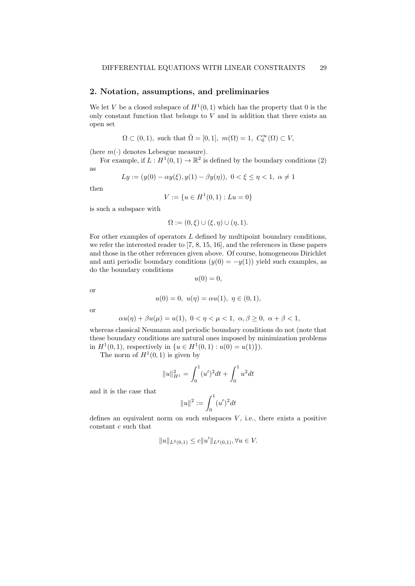# 2. Notation, assumptions, and preliminaries

We let V be a closed subspace of  $H^1(0,1)$  which has the property that 0 is the only constant function that belongs to  $V$  and in addition that there exists an open set

$$
\Omega\subset(0,1),\text{ such that }\bar{\Omega}=[0,1],\text{ }m(\Omega)=1,\text{ }C_{0}^{\infty}(\Omega)\subset V,
$$

(here  $m(\cdot)$  denotes Lebesgue measure).

For example, if  $L: H^1(0,1) \to \mathbb{R}^2$  is defined by the boundary conditions (2) as

$$
Ly := (y(0) - \alpha y(\xi), y(1) - \beta y(\eta)), \ 0 < \xi \le \eta < 1, \ \alpha \ne 1
$$

then

$$
V := \{ u \in H^1(0,1) : Lu = 0 \}
$$

is such a subspace with

$$
\Omega := (0, \xi) \cup (\xi, \eta) \cup (\eta, 1).
$$

For other examples of operators  $L$  defined by multipoint boundary conditions, we refer the interested reader to [7, 8, 15, 16], and the references in these papers and those in the other references given above. Of course, homogeneous Dirichlet and anti periodic boundary conditions  $(y(0) = -y(1))$  yield such examples, as do the boundary conditions

$$
u(0) = 0,
$$

or

$$
u(0) = 0, \ u(\eta) = \alpha u(1), \ \eta \in (0, 1),
$$

or

$$
\alpha u(\eta) + \beta u(\mu) = u(1), \ 0 < \eta < \mu < 1, \ \alpha, \beta \ge 0, \ \alpha + \beta < 1,
$$

whereas classical Neumann and periodic boundary conditions do not (note that these boundary conditions are natural ones imposed by minimization problems in  $H^1(0,1)$ , respectively in  $\{u \in H^1(0,1) : u(0) = u(1)\}\)$ .

The norm of  $H^1(0,1)$  is given by

$$
||u||_{H^1}^2 = \int_0^1 (u')^2 dt + \int_0^1 u^2 dt
$$

and it is the case that

$$
||u||^2 := \int_0^1 (u')^2 dt
$$

defines an equivalent norm on such subspaces  $V$ , i.e., there exists a positive constant  $c$  such that

$$
||u||_{L^2(0,1)} \le c||u'||_{L^2(0,1)}, \forall u \in V.
$$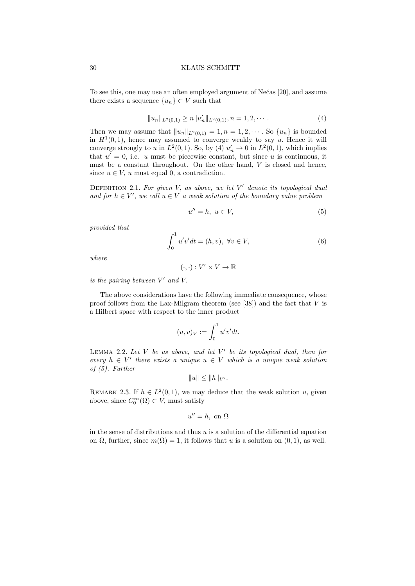To see this, one may use an often employed argument of Nečas [20], and assume there exists a sequence  $\{u_n\} \subset V$  such that

$$
||u_n||_{L^2(0,1)} \ge n||u'_n||_{L^2(0,1)}, n = 1, 2, \cdots.
$$
 (4)

Then we may assume that  $||u_n||_{L^2(0,1)} = 1, n = 1, 2, \cdots$ . So  $\{u_n\}$  is bounded in  $H^1(0,1)$ , hence may assumed to converge weakly to say u. Hence it will converge strongly to u in  $L^2(0,1)$ . So, by (4)  $u'_n \to 0$  in  $L^2(0,1)$ , which implies that  $u' = 0$ , i.e. u must be piecewise constant, but since u is continuous, it must be a constant throughout. On the other hand, V is closed and hence, since  $u \in V$ , u must equal 0, a contradiction.

DEFINITION 2.1. For given V, as above, we let  $V'$  denote its topological dual and for  $h \in V'$ , we call  $u \in V$  a weak solution of the boundary value problem

$$
-u'' = h, \ u \in V,\tag{5}
$$

provided that

$$
\int_0^1 u'v'dt = (h, v), \ \forall v \in V,\tag{6}
$$

where

$$
(\cdot, \cdot): V' \times V \to \mathbb{R}
$$

is the pairing between  $V'$  and  $V$ .

The above considerations have the following immediate consequence, whose proof follows from the Lax-Milgram theorem (see [38]) and the fact that  $V$  is a Hilbert space with respect to the inner product

$$
(u,v)_V := \int_0^1 u'v'dt.
$$

LEMMA 2.2. Let  $V$  be as above, and let  $V'$  be its topological dual, then for every  $h \in V'$  there exists a unique  $u \in V$  which is a unique weak solution of (5). Further

$$
||u|| \leq ||h||_{V'}.
$$

REMARK 2.3. If  $h \in L^2(0,1)$ , we may deduce that the weak solution u, given above, since  $C_0^{\infty}(\Omega) \subset V$ , must satisfy

$$
u'' = h, \text{ on } \Omega
$$

in the sense of distributions and thus  $u$  is a solution of the differential equation on  $\Omega$ , further, since  $m(\Omega) = 1$ , it follows that u is a solution on  $(0, 1)$ , as well.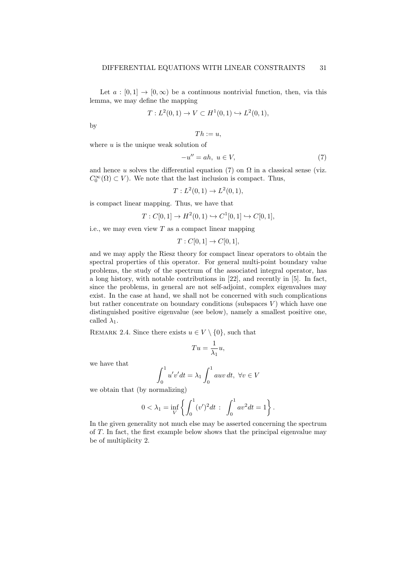Let  $a : [0,1] \to [0,\infty)$  be a continuous nontrivial function, then, via this lemma, we may define the mapping

$$
T: L^2(0,1) \to V \subset H^1(0,1) \hookrightarrow L^2(0,1),
$$

by

$$
Th:=u,
$$

where  $u$  is the unique weak solution of

$$
-u'' = ah, \ u \in V,
$$
\n<sup>(7)</sup>

and hence u solves the differential equation (7) on  $\Omega$  in a classical sense (viz.  $C_0^{\infty}(\Omega) \subset V$ ). We note that the last inclusion is compact. Thus,

$$
T: L^2(0,1) \to L^2(0,1),
$$

is compact linear mapping. Thus, we have that

$$
T: C[0,1] \to H^2(0,1) \hookrightarrow C^1[0,1] \hookrightarrow C[0,1],
$$

i.e., we may even view  $T$  as a compact linear mapping

$$
T: C[0,1] \to C[0,1],
$$

and we may apply the Riesz theory for compact linear operators to obtain the spectral properties of this operator. For general multi-point boundary value problems, the study of the spectrum of the associated integral operator, has a long history, with notable contributions in [22], and recently in [5]. In fact, since the problems, in general are not self-adjoint, complex eigenvalues may exist. In the case at hand, we shall not be concerned with such complications but rather concentrate on boundary conditions (subspaces  $V$ ) which have one distinguished positive eigenvalue (see below), namely a smallest positive one, called  $\lambda_1$ .

REMARK 2.4. Since there exists  $u \in V \setminus \{0\}$ , such that

$$
Tu = \frac{1}{\lambda_1}u,
$$

we have that

$$
\int_0^1 u'v'dt = \lambda_1 \int_0^1 auv dt, \ \forall v \in V
$$

we obtain that (by normalizing)

$$
0 < \lambda_1 = \inf_{V} \left\{ \int_0^1 (v')^2 dt \; : \; \int_0^1 av^2 dt = 1 \right\}.
$$

In the given generality not much else may be asserted concerning the spectrum of T. In fact, the first example below shows that the principal eigenvalue may be of multiplicity 2.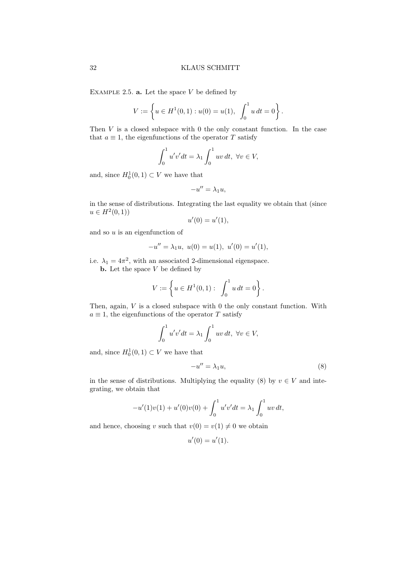EXAMPLE 2.5.  $a$ . Let the space V be defined by

$$
V := \left\{ u \in H^{1}(0,1) : u(0) = u(1), \int_{0}^{1} u dt = 0 \right\}.
$$

Then  $V$  is a closed subspace with  $0$  the only constant function. In the case that  $a \equiv 1$ , the eigenfunctions of the operator T satisfy

$$
\int_0^1 u'v'dt = \lambda_1 \int_0^1 uv dt, \ \forall v \in V,
$$

and, since  $H_0^1(0,1) \subset V$  we have that

$$
-u''=\lambda_1 u,
$$

in the sense of distributions. Integrating the last equality we obtain that (since  $u \in H^2(0,1)$ 

$$
u'(0) = u'(1),
$$

and so  $u$  is an eigenfunction of

$$
-u'' = \lambda_1 u, \ u(0) = u(1), \ u'(0) = u'(1),
$$

i.e.  $\lambda_1 = 4\pi^2$ , with an associated 2-dimensional eigenspace.

**b.** Let the space  $V$  be defined by

$$
V:=\left\{u\in H^1(0,1): \ \int_0^1 u\,dt=0\right\}.
$$

Then, again,  $V$  is a closed subspace with 0 the only constant function. With  $a \equiv 1$ , the eigenfunctions of the operator T satisfy

$$
\int_0^1 u'v'dt = \lambda_1 \int_0^1 uv dt, \ \forall v \in V,
$$

and, since  $H_0^1(0,1) \subset V$  we have that

$$
-u'' = \lambda_1 u,\tag{8}
$$

in the sense of distributions. Multiplying the equality (8) by  $v \in V$  and integrating, we obtain that

$$
-u'(1)v(1) + u'(0)v(0) + \int_0^1 u'v'dt = \lambda_1 \int_0^1 uv dt,
$$

and hence, choosing v such that  $v(0) = v(1) \neq 0$  we obtain

$$
u'(0) = u'(1).
$$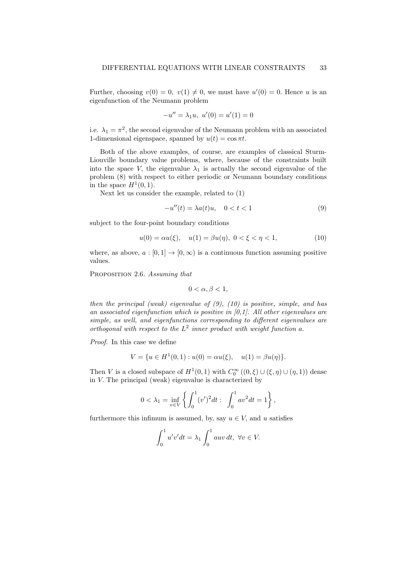Further, choosing  $v(0) = 0$ ,  $v(1) \neq 0$ , we must have  $u'(0) = 0$ . Hence u is an eigenfunction of the Neumann problem

$$
-u'' = \lambda_1 u, \ u'(0) = u'(1) = 0
$$

i.e.  $\lambda_1 = \pi^2$ , the second eigenvalue of the Neumann problem with an associated 1-dimensional eigenspace, spanned by  $u(t) = \cos \pi t$ .

Both of the above examples, of course, are examples of classical Sturm-Liouville boundary value problems, where, because of the constraints built into the space V, the eigenvalue  $\lambda_1$  is actually the second eigenvalue of the problem (8) with respect to either periodic or Neumann boundary conditions in the space  $H^1(0,1)$ .

Next let us consider the example, related to (1)

$$
-u''(t) = \lambda a(t)u, \quad 0 < t < 1\tag{9}
$$

subject to the four-point boundary conditions

$$
u(0) = \alpha u(\xi), \quad u(1) = \beta u(\eta), \ 0 < \xi < \eta < 1,\tag{10}
$$

where, as above,  $a : [0, 1] \rightarrow [0, \infty)$  is a continuous function assuming positive values.

PROPOSITION 2.6. Assuming that

$$
0 < \alpha, \beta < 1,
$$

then the principal (weak) eigenvalue of  $(9)$ ,  $(10)$  is positive, simple, and has an associated eigenfunction which is positive in  $[0,1]$ . All other eigenvalues are simple, as well, and eigenfunctions corresponding to different eigenvalues are orthogonal with respect to the  $L^2$  inner product with weight function a.

Proof. In this case we define

$$
V = \{ u \in H^1(0,1) : u(0) = \alpha u(\xi), \quad u(1) = \beta u(\eta) \}.
$$

Then V is a closed subspace of  $H^1(0,1)$  with  $C_0^{\infty}((0,\xi) \cup (\xi,\eta) \cup (\eta,1))$  dense in V. The principal (weak) eigenvalue is characterized by

$$
0 < \lambda_1 = \inf_{v \in V} \left\{ \int_0^1 (v')^2 dt : \int_0^1 av^2 dt = 1 \right\},\,
$$

furthermore this infimum is assumed, by, say  $u \in V$ , and u satisfies

$$
\int_0^1 u'v'dt = \lambda_1 \int_0^1 auv dt, \ \forall v \in V.
$$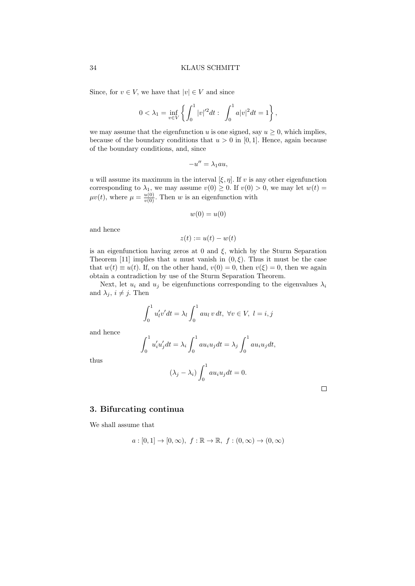Since, for  $v \in V$ , we have that  $|v| \in V$  and since

$$
0 < \lambda_1 = \inf_{v \in V} \left\{ \int_0^1 |v|^{2} dt : \int_0^1 a|v|^2 dt = 1 \right\},\,
$$

we may assume that the eigenfunction u is one signed, say  $u \geq 0$ , which implies, because of the boundary conditions that  $u > 0$  in [0, 1]. Hence, again because of the boundary conditions, and, since

$$
-u'' = \lambda_1 au,
$$

u will assume its maximum in the interval  $[\xi, \eta]$ . If v is any other eigenfunction corresponding to  $\lambda_1$ , we may assume  $v(0) \geq 0$ . If  $v(0) > 0$ , we may let  $w(t) =$  $\mu v(t)$ , where  $\mu = \frac{u(0)}{v(0)}$ . Then w is an eigenfunction with

$$
w(0)=u(0)
$$

and hence

$$
z(t) := u(t) - w(t)
$$

is an eigenfunction having zeros at 0 and  $\xi$ , which by the Sturm Separation Theorem [11] implies that u must vanish in  $(0, \xi)$ . Thus it must be the case that  $w(t) \equiv u(t)$ . If, on the other hand,  $v(0) = 0$ , then  $v(\xi) = 0$ , then we again obtain a contradiction by use of the Sturm Separation Theorem.

Next, let  $u_i$  and  $u_j$  be eigenfunctions corresponding to the eigenvalues  $\lambda_i$ and  $\lambda_i$ ,  $i \neq j$ . Then

$$
\int_0^1 u'_l v' dt = \lambda_l \int_0^1 a u_l v dt, \ \forall v \in V, \ l = i, j
$$

and hence

$$
\int_0^1 u'_i u'_j dt = \lambda_i \int_0^1 a u_i u_j dt = \lambda_j \int_0^1 a u_i u_j dt,
$$

thus

$$
(\lambda_j - \lambda_i) \int_0^1 a u_i u_j dt = 0.
$$

 $\Box$ 

## 3. Bifurcating continua

We shall assume that

$$
a:[0,1]\to[0,\infty),\ f:\mathbb{R}\to\mathbb{R},\ f:(0,\infty)\to(0,\infty)
$$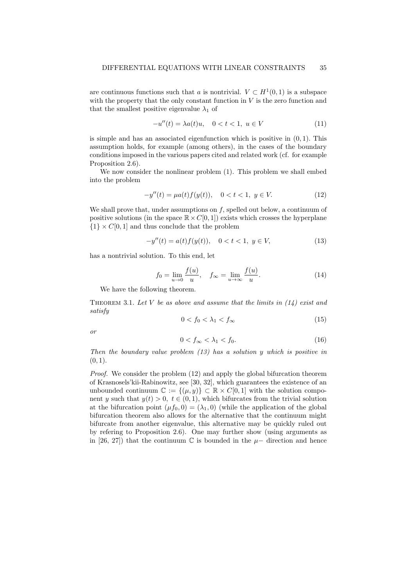are continuous functions such that a is nontrivial.  $V \subset H^1(0,1)$  is a subspace with the property that the only constant function in  $V$  is the zero function and that the smallest positive eigenvalue  $\lambda_1$  of

$$
-u''(t) = \lambda a(t)u, \quad 0 < t < 1, \ u \in V
$$
 (11)

is simple and has an associated eigenfunction which is positive in  $(0, 1)$ . This assumption holds, for example (among others), in the cases of the boundary conditions imposed in the various papers cited and related work (cf. for example Proposition 2.6).

We now consider the nonlinear problem (1). This problem we shall embed into the problem

$$
-y''(t) = \mu a(t) f(y(t)), \quad 0 < t < 1, \ y \in V. \tag{12}
$$

We shall prove that, under assumptions on  $f$ , spelled out below, a continuum of positive solutions (in the space  $\mathbb{R} \times C[0, 1]$ ) exists which crosses the hyperplane  ${1} \times C[0, 1]$  and thus conclude that the problem

$$
-y''(t) = a(t)f(y(t)), \quad 0 < t < 1, \ y \in V,\tag{13}
$$

has a nontrivial solution. To this end, let

$$
f_0 = \lim_{u \to 0} \frac{f(u)}{u}, \quad f_{\infty} = \lim_{u \to \infty} \frac{f(u)}{u}.
$$
 (14)

We have the following theorem.

THEOREM 3.1. Let V be as above and assume that the limits in  $(14)$  exist and satisfy

$$
0 < f_0 < \lambda_1 < f_\infty \tag{15}
$$

or

$$
0 < f_{\infty} < \lambda_1 < f_0. \tag{16}
$$

Then the boundary value problem (13) has a solution y which is positive in  $(0, 1)$ .

Proof. We consider the problem (12) and apply the global bifurcation theorem of Krasnosels'kii-Rabinowitz, see [30, 32], which guarantees the existence of an unbounded continuum  $\mathbb{C} := \{(\mu, y)\} \subset \mathbb{R} \times C[0, 1]$  with the solution component y such that  $y(t) > 0$ ,  $t \in (0, 1)$ , which bifurcates from the trivial solution at the bifurcation point  $(\mu f_0, 0) = (\lambda_1, 0)$  (while the application of the global bifurcation theorem also allows for the alternative that the continuum might bifurcate from another eigenvalue, this alternative may be quickly ruled out by refering to Proposition 2.6). One may further show (using arguments as in [26, 27]) that the continuum  $\mathbb C$  is bounded in the  $\mu-$  direction and hence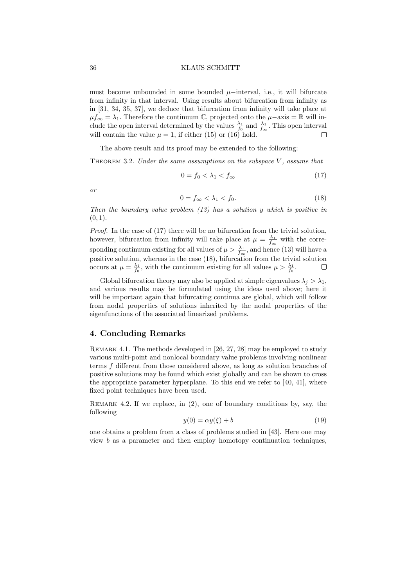must become unbounded in some bounded  $\mu$ −interval, i.e., it will bifurcate from infinity in that interval. Using results about bifurcation from infinity as in [31, 34, 35, 37], we deduce that bifurcation from infinity will take place at  $\mu f_{\infty} = \lambda_1$ . Therefore the continuum  $\mathbb{C}$ , projected onto the  $\mu$ −axis =  $\mathbb{R}$  will include the open interval determined by the values  $\frac{\lambda_1}{f_0}$  and  $\frac{\lambda_1}{f_\infty}$ . This open interval will contain the value  $\mu = 1$ , if either (15) or (16) hold.  $\Box$ 

The above result and its proof may be extended to the following:

THEOREM 3.2. Under the same assumptions on the subspace  $V$ , assume that

$$
0 = f_0 < \lambda_1 < f_\infty \tag{17}
$$

or

$$
0 = f_{\infty} < \lambda_1 < f_0. \tag{18}
$$

Then the boundary value problem  $(13)$  has a solution y which is positive in  $(0, 1)$ .

Proof. In the case of (17) there will be no bifurcation from the trivial solution, however, bifurcation from infinity will take place at  $\mu = \frac{\lambda_1}{f_{\infty}}$  with the corresponding continuum existing for all values of  $\mu > \frac{\lambda_1}{f_{\infty}}$ , and hence (13) will have a positive solution, whereas in the case (18), bifurcation from the trivial solution occurs at  $\mu = \frac{\lambda_1}{f_0}$ , with the continuum existing for all values  $\mu > \frac{\lambda_1}{f_0}$ . г

Global bifurcation theory may also be applied at simple eigenvalues  $\lambda_i > \lambda_1$ , and various results may be formulated using the ideas used above; here it will be important again that bifurcating continua are global, which will follow from nodal properties of solutions inherited by the nodal properties of the eigenfunctions of the associated linearized problems.

# 4. Concluding Remarks

Remark 4.1. The methods developed in [26, 27, 28] may be employed to study various multi-point and nonlocal boundary value problems involving nonlinear terms f different from those considered above, as long as solution branches of positive solutions may be found which exist globally and can be shown to cross the appropriate parameter hyperplane. To this end we refer to  $[40, 41]$ , where fixed point techniques have been used.

REMARK 4.2. If we replace, in  $(2)$ , one of boundary conditions by, say, the following

$$
y(0) = \alpha y(\xi) + b \tag{19}
$$

one obtains a problem from a class of problems studied in [43]. Here one may view b as a parameter and then employ homotopy continuation techniques,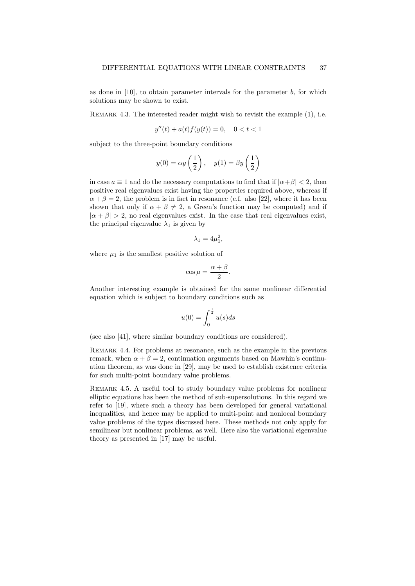as done in  $[10]$ , to obtain parameter intervals for the parameter  $b$ , for which solutions may be shown to exist.

REMARK 4.3. The interested reader might wish to revisit the example  $(1)$ , i.e.

$$
y''(t) + a(t)f(y(t)) = 0, \quad 0 < t < 1
$$

subject to the three-point boundary conditions

$$
y(0) = \alpha y\left(\frac{1}{2}\right), \quad y(1) = \beta y\left(\frac{1}{2}\right)
$$

in case  $a \equiv 1$  and do the necessary computations to find that if  $|\alpha + \beta| < 2$ , then positive real eigenvalues exist having the properties required above, whereas if  $\alpha + \beta = 2$ , the problem is in fact in resonance (c.f. also [22], where it has been shown that only if  $\alpha + \beta \neq 2$ , a Green's function may be computed) and if  $|\alpha + \beta| > 2$ , no real eigenvalues exist. In the case that real eigenvalues exist, the principal eigenvalue  $\lambda_1$  is given by

$$
\lambda_1 = 4\mu_1^2,
$$

where  $\mu_1$  is the smallest positive solution of

$$
\cos \mu = \frac{\alpha + \beta}{2}.
$$

Another interesting example is obtained for the same nonlinear differential equation which is subject to boundary conditions such as

$$
u(0) = \int_0^{\frac{1}{2}} u(s)ds
$$

(see also [41], where similar boundary conditions are considered).

REMARK 4.4. For problems at resonance, such as the example in the previous remark, when  $\alpha + \beta = 2$ , continuation arguments based on Mawhin's continuation theorem, as was done in [29], may be used to establish existence criteria for such multi-point boundary value problems.

Remark 4.5. A useful tool to study boundary value problems for nonlinear elliptic equations has been the method of sub-supersolutions. In this regard we refer to [19], where such a theory has been developed for general variational inequalities, and hence may be applied to multi-point and nonlocal boundary value problems of the types discussed here. These methods not only apply for semilinear but nonlinear problems, as well. Here also the variational eigenvalue theory as presented in [17] may be useful.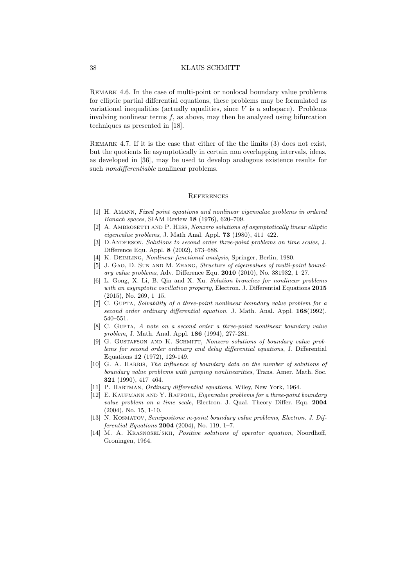REMARK 4.6. In the case of multi-point or nonlocal boundary value problems for elliptic partial differential equations, these problems may be formulated as variational inequalities (actually equalities, since  $V$  is a subspace). Problems involving nonlinear terms  $f$ , as above, may then be analyzed using bifurcation techniques as presented in [18].

REMARK 4.7. If it is the case that either of the the limits (3) does not exist, but the quotients lie asymptotically in certain non overlapping intervals, ideas, as developed in [36], may be used to develop analogous existence results for such nondifferentiable nonlinear problems.

### **REFERENCES**

- [1] H. Amann, Fixed point equations and nonlinear eigenvalue problems in ordered Banach spaces, SIAM Review 18 (1976), 620–709.
- [2] A. AMBROSETTI AND P. HESS, Nonzero solutions of asymptotically linear elliptic eigenvalue problems, J. Math Anal. Appl. 73 (1980), 411–422.
- [3] D.ANDERSON, Solutions to second order three-point problems on time scales, J. Difference Equ. Appl. 8 (2002), 673–688.
- [4] K. DEIMLING, *Nonlinear functional analysis*, Springer, Berlin, 1980.
- [5] J. GAO, D. SUN AND M. ZHANG, Structure of eigenvalues of multi-point boundary value problems, Adv. Difference Equ. 2010 (2010), No. 381932, 1–27.
- [6] L. Gong, X. Li, B. Qin and X. Xu. Solution branches for nonlinear problems with an asymptotic oscillation property, Electron. J. Differential Equations 2015 (2015), No. 269, 1–15.
- [7] C. GUPTA, Solvability of a three-point nonlinear boundary value problem for a second order ordinary differential equation, J. Math. Anal. Appl. 168(1992), 540–551.
- [8] C. GUPTA, A note on a second order a three-point nonlinear boundary value problem, J. Math. Anal. Appl. 186 (1994), 277-281.
- [9] G. GUSTAFSON AND K. SCHMITT, Nonzero solutions of boundary value problems for second order ordinary and delay differential equations, J. Differential Equations 12 (1972), 129-149.
- [10] G. A. HARRIS, The influence of boundary data on the number of solutions of boundary value problems with jumping nonlinearities, Trans. Amer. Math. Soc. 321 (1990), 417–464.
- [11] P. HARTMAN, *Ordinary differential equations*, Wiley, New York, 1964.
- [12] E. KAUFMANN AND Y. RAFFOUL, *Eigenvalue problems for a three-point boundary* value problem on a time scale, Electron. J. Qual. Theory Differ. Equ. 2004 (2004), No. 15, 1-10.
- [13] N. Kosmatov, Semipositone m-point boundary value problems, Electron. J. Dif*ferential Equations* 2004 (2004), No. 119, 1-7.
- [14] M. A. KRASNOSEL'SKII, *Positive solutions of operator equation*, Noordhoff, Groningen, 1964.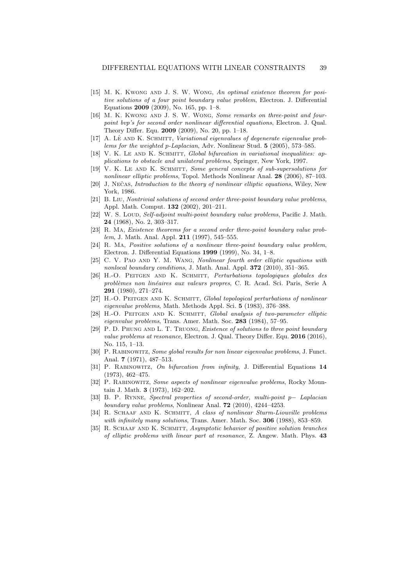- [15] M. K. Kwong and J. S. W. Wong, An optimal existence theorem for positive solutions of a four point boundary value problem, Electron. J. Differential Equations 2009 (2009), No. 165, pp. 1–8.
- [16] M. K. Kwong and J. S. W. Wong, Some remarks on three-point and fourpoint bvp's for second order nonlinear differential equations, Electron. J. Qual. Theory Differ. Equ. 2009 (2009), No. 20, pp. 1–18.
- [17] A. Lê AND K. SCHMITT, *Variational eigenvalues of degenerate eigenvalue prob*lems for the weighted p-Laplacian, Adv. Nonlinear Stud. 5 (2005), 573–585.
- [18] V. K. LE AND K. SCHMITT, Global bifurcation in variational inequalities: applications to obstacle and unilateral problems, Springer, New York, 1997.
- [19] V. K. LE AND K. SCHMITT, Some general concepts of sub-supersolutions for nonlinear elliptic problems, Topol. Methods Nonlinear Anal. 28 (2006), 87–103.
- [20] J, Nečas, *Introduction to the theory of nonlinear elliptic equations*, Wiley, New York, 1986.
- [21] B. Liu, Nontrivial solutions of second order three-point boundary value problems, Appl. Math. Comput. 132 (2002), 201–211.
- [22] W. S. Loup, Self-adjoint multi-point boundary value problems, Pacific J. Math. 24 (1968), No. 2, 303–317.
- [23] R. MA, Existence theorems for a second order three-point boundary value problem, J. Math. Anal. Appl. **211** (1997), 545–555.
- [24] R. Ma, Positive solutions of a nonlinear three-point boundary value problem, Electron. J. Differential Equations 1999 (1999), No. 34, 1–8.
- [25] C. V. PAO AND Y. M. WANG, *Nonlinear fourth order elliptic equations with* nonlocal boundary conditions, J. Math. Anal. Appl. **372** (2010), 351-365.
- [26] H.-O. Peitgen and K. Schmitt, Perturbations topologiques globales des problèmes non linéaires aux valeurs propres, C. R. Acad. Sci. Paris, Serie A 291 (1980), 271–274.
- [27] H.-O. PEITGEN AND K. SCHMITT, Global topological perturbations of nonlinear eigenvalue problems, Math. Methods Appl. Sci. 5 (1983), 376–388.
- [28] H.-O. PEITGEN AND K. SCHMITT, Global analysis of two-parameter elliptic eigenvalue problems, Trans. Amer. Math. Soc. 283 (1984), 57–95.
- [29] P. D. PHUNG AND L. T. TRUONG, Existence of solutions to three point boundary value problems at resonance, Electron. J. Qual. Theory Differ. Equ. 2016 (2016), No. 115, 1–13.
- [30] P. RABINOWITZ, Some global results for non linear eigenvalue problems, J. Funct. Anal. 7 (1971), 487–513.
- [31] P. Rabinowitz, On bifurcation from infinity, J. Differential Equations 14 (1973), 462–475.
- [32] P. RABINOWITZ, Some aspects of nonlinear eigenvalue problems, Rocky Mountain J. Math. 3 (1973), 162–202.
- [33] B. P. Rynne, Spectral properties of second-order, multi-point p− Laplacian boundary value problems, Nonlinear Anal. 72 (2010), 4244–4253.
- [34] R. SCHAAF AND K. SCHMITT, A class of nonlinear Sturm-Liouville problems with infinitely many solutions, Trans. Amer. Math. Soc. 306 (1988), 853-859.
- [35] R. SCHAAF AND K. SCHMITT, Asymptotic behavior of positive solution branches of elliptic problems with linear part at resonance, Z. Angew. Math. Phys. 43